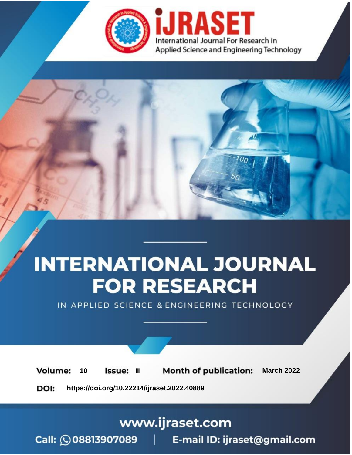

# **INTERNATIONAL JOURNAL FOR RESEARCH**

IN APPLIED SCIENCE & ENGINEERING TECHNOLOGY

10 **Issue: III Month of publication:** March 2022 **Volume:** 

**https://doi.org/10.22214/ijraset.2022.40889**DOI:

www.ijraset.com

Call: 008813907089 | E-mail ID: ijraset@gmail.com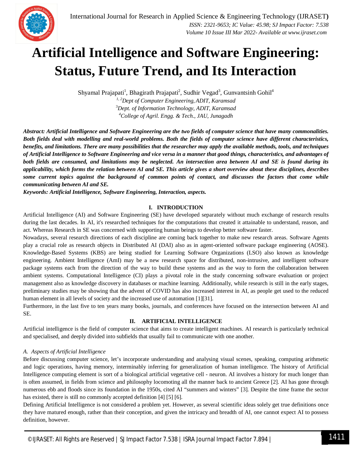

## **Artificial Intelligence and Software Engineering: Status, Future Trend, and Its Interaction**

Shyamal Prajapati<sup>1</sup>, Bhagirath Prajapati<sup>2</sup>, Sudhir Vegad<sup>3</sup>, Gunvantsinh Gohil<sup>4</sup>

*1, <sup>2</sup>Dept of Computer Engineering, ADIT, Karamsad* <sup>3</sup>*Dept. of Information Technology, ADIT, Karamsad <sup>4</sup>College of Agril. Engg. & Tech., JAU, Junagadh*

*Abstract: Artificial Intelligence and Software Engineering are the two fields of computer science that have many commonalities. Both fields deal with modelling and real-world problems. Both the fields of computer science have different characteristics, benefits, and limitations. There are many possibilities that the researcher may apply the available methods, tools, and techniques of Artificial Intelligence to Software Engineering and vice versa in a manner that good things, characteristics, and advantages of both fields are consumed, and limitations may be neglected. An intersection area between AI and SE is found during its applicability, which forms the relation between AI and SE. This article gives a short overview about these disciplines, describes some current topics against the background of common points of contact, and discusses the factors that come while communicating between AI and SE.*

*Keywords: Artificial Intelligence, Software Engineering, Interaction, aspects.*

#### **I. INTRODUCTION**

Artificial Intelligence (AI) and Software Engineering (SE) have developed separately without much exchange of research results during the last decades. In AI, it's researched techniques for the computations that created it attainable to understand, reason, and act. Whereas Research in SE was concerned with supporting human beings to develop better software faster.

Nowadays, several research directions of each discipline are coming back together to make new research areas. Software Agents play a crucial role as research objects in Distributed AI (DAI) also as in agent-oriented software package engineering (AOSE). Knowledge-Based Systems (KBS) are being studied for Learning Software Organizations (LSO) also known as knowledge engineering. Ambient Intelligence (AmI) may be a new research space for distributed, non-intrusive, and intelligent software package systems each from the direction of the way to build these systems and as the way to form the collaboration between ambient systems. Computational Intelligence (CI) plays a pivotal role in the study concerning software evaluation or project management also as knowledge discovery in databases or machine learning. Additionally, while research is still in the early stages, preliminary studies may be showing that the advent of COVID has also increased interest in AI, as people get used to the reduced human element in all levels of society and the increased use of automation [1][31].

Furthermore, in the last five to ten years many books, journals, and conferences have focused on the intersection between AI and SE.

#### **II. ARTIFICIAL INTELLIGENCE**

Artificial intelligence is the field of computer science that aims to create intelligent machines. AI research is particularly technical and specialised, and deeply divided into subfields that usually fail to communicate with one another.

#### *A. Aspects of Artificial Intelligence*

Before discussing computer science, let's incorporate understanding and analysing visual scenes, speaking, computing arithmetic and logic operations, having memory, interminably inferring for generalization of human intelligence. The history of Artificial Intelligence computing element is sort of a biological artificial vegetative cell - neuron. AI involves a history for much longer than is often assumed, in fields from science and philosophy locomoting all the manner back to ancient Greece [2]. AI has gone through numerous ebb and floods since its foundation in the 1950s, cited AI "summers and winters" [3]. Despite the time frame the sector has existed, there is still no commonly accepted definition [4] [5] [6].

Defining Artificial Intelligence is not considered a problem yet. However, as several scientific ideas solely get true definitions once they have matured enough, rather than their conception, and given the intricacy and breadth of AI, one cannot expect AI to possess definition, however.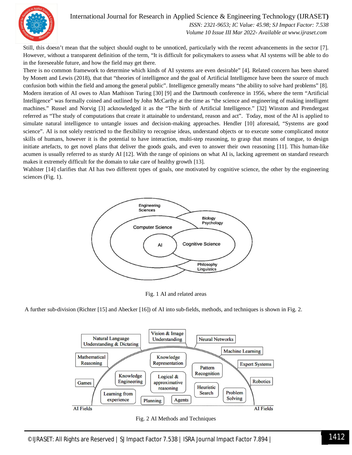

### International Journal for Research in Applied Science & Engineering Technology (IJRASET**)**

 *ISSN: 2321-9653; IC Value: 45.98; SJ Impact Factor: 7.538 Volume 10 Issue III Mar 2022- Available at www.ijraset.com*

Still, this doesn't mean that the subject should ought to be unnoticed, particularly with the recent advancements in the sector [7]. However, without a transparent definition of the term, "It is difficult for policymakers to assess what AI systems will be able to do in the foreseeable future, and how the field may get there.

There is no common framework to determine which kinds of AI systems are even desirable" [4]. Related concern has been shared by Monett and Lewis (2018), that that "theories of intelligence and the goal of Artificial Intelligence have been the source of much confusion both within the field and among the general public". Intelligence generally means "the ability to solve hard problems" [8]. Modern iteration of AI owes to Alan Mathison Turing [30] [9] and the Dartmouth conference in 1956, where the term "Artificial Intelligence" was formally coined and outlined by John McCarthy at the time as "the science and engineering of making intelligent machines." Russel and Norvig [3] acknowledged it as the "The birth of Artificial Intelligence." [32] Winston and Prendergast referred as "The study of computations that create it attainable to understand, reason and act". Today, most of the AI is applied to simulate natural intelligence to untangle issues and decision-making approaches. Hendler [10] aforesaid, "Systems are good science". AI is not solely restricted to the flexibility to recognise ideas, understand objects or to execute some complicated motor skills of humans, however it is the potential to have interaction, multi-step reasoning, to grasp that means of tongue, to design initiate artefacts, to get novel plans that deliver the goods goals, and even to answer their own reasoning [11]. This human-like acumen is usually referred to as sturdy AI [12]. With the range of opinions on what AI is, lacking agreement on standard research makes it extremely difficult for the domain to take care of healthy growth [13].

Wahlster [14] clarifies that AI has two different types of goals, one motivated by cognitive science, the other by the engineering sciences (Fig. 1).



Fig. 1 AI and related areas

A further sub-division (Richter [15] and Abecker [16]) of AI into sub-fields, methods, and techniques is shown in Fig. 2.



Fig. 2 AI Methods and Techniques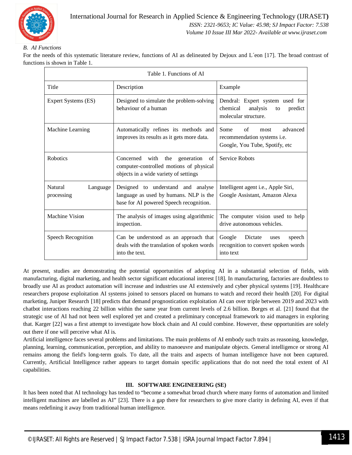

#### *B. AI Functions*

For the needs of this systematic literature review, functions of AI as delineated by Dejoux and L´eon [17]. The broad contrast of functions is shown in Table 1.

| Table 1. Functions of AI          |                                                                                                                            |                                                                                                        |
|-----------------------------------|----------------------------------------------------------------------------------------------------------------------------|--------------------------------------------------------------------------------------------------------|
| Title                             | Description                                                                                                                | Example                                                                                                |
| Expert Systems (ES)               | Designed to simulate the problem-solving<br>behaviour of a human                                                           | Dendral: Expert system used for<br>chemical<br>analysis<br>predict<br>to<br>molecular structure.       |
| Machine Learning                  | Automatically refines its methods and<br>improves its results as it gets more data.                                        | Some<br>of<br>advanced<br>most<br>recommendation systems <i>i.e.</i><br>Google, You Tube, Spotify, etc |
| Robotics                          | Concerned with the<br>generation<br>of<br>computer-controlled motions of physical<br>objects in a wide variety of settings | Service Robots                                                                                         |
| Natural<br>Language<br>processing | Designed to understand and analyse<br>language as used by humans. NLP is the<br>base for AI powered Speech recognition.    | Intelligent agent i.e., Apple Siri,<br>Google Assistant, Amazon Alexa                                  |
| <b>Machine Vision</b>             | The analysis of images using algorithmic<br>inspection.                                                                    | The computer vision used to help<br>drive autonomous vehicles.                                         |
| Speech Recognition                | Can be understood as an approach that<br>deals with the translation of spoken words<br>into the text.                      | Dictate<br>Google<br>speech<br>uses<br>recognition to convert spoken words<br>into text                |

At present, studies are demonstrating the potential opportunities of adopting AI in a substantial selection of fields, with manufacturing, digital marketing, and health sector significant educational interest [18]. In manufacturing, factories are doubtless to broadly use AI as product automation will increase and industries use AI extensively and cyber physical systems [19]. Healthcare researchers propose exploitation AI systems joined to sensors placed on humans to watch and record their health [20]. For digital marketing, Juniper Research [18] predicts that demand prognostication exploitation AI can over triple between 2019 and 2023 with chatbot interactions reaching 22 billion within the same year from current levels of 2.6 billion. Borges et al. [21] found that the strategic use of AI had not been well explored yet and created a preliminary conceptual framework to aid managers in exploring that. Karger [22] was a first attempt to investigate how block chain and AI could combine. However, these opportunities are solely out there if one will perceive what AI is.

Artificial intelligence faces several problems and limitations. The main problems of AI embody such traits as reasoning, knowledge, planning, learning, communication, perception, and ability to manoeuvre and manipulate objects. General intelligence or strong AI remains among the field's long-term goals. To date, all the traits and aspects of human intelligence have not been captured. Currently, Artificial Intelligence rather appears to target domain specific applications that do not need the total extent of AI capabilities.

#### **III. SOFTWARE ENGINEERING (SE)**

It has been noted that AI technology has tended to "become a somewhat broad church where many forms of automation and limited intelligent machines are labelled as AI" [23]. There is a gap there for researchers to give more clarity in defining AI, even if that means redefining it away from traditional human intelligence.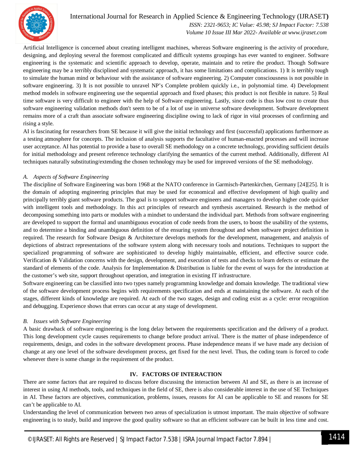

#### International Journal for Research in Applied Science & Engineering Technology (IJRASET**)**  *ISSN: 2321-9653; IC Value: 45.98; SJ Impact Factor: 7.538 Volume 10 Issue III Mar 2022- Available at www.ijraset.com*

Artificial Intelligence is concerned about creating intelligent machines, whereas Software engineering is the activity of procedure, designing, and deploying several the foremost complicated and difficult systems groupings has ever wanted to engineer. Software engineering is the systematic and scientific approach to develop, operate, maintain and to retire the product. Though Software engineering may be a terribly disciplined and systematic approach, it has some limitations and complications. 1) It is terribly tough to simulate the human mind or behaviour with the assistance of software engineering. 2) Computer consciousness is not possible in software engineering. 3) It is not possible to unravel NP's Complete problem quickly i.e., in polynomial time. 4) Development method models in software engineering use the sequential approach and fixed phases; this product is not flexible in nature. 5) Real time software is very difficult to engineer with the help of Software engineering. Lastly, since code is thus low cost to create thus software engineering validation methods don't seem to be of a lot of use in universe software development. Software development remains more of a craft than associate software engineering discipline owing to lack of rigor in vital processes of confirming and rising a style.

AI is fascinating for researchers from SE because it will give the initial technology and first (successful) applications furthermore as a testing atmosphere for concepts. The inclusion of analysis supports the facultative of human-enacted processes and will increase user acceptance. AI has potential to provide a base to overall SE methodology on a concrete technology, providing sufficient details for initial methodology and present reference technology clarifying the semantics of the current method. Additionally, different AI techniques naturally substituting/extending the chosen technology may be used for improved versions of the SE methodology.

#### *A. Aspects of Software Engineering*

The discipline of Software Engineering was born 1968 at the NATO conference in Garmisch-Partenkirchen, Germany [24][25]. It is the domain of adopting engineering principles that may be used for economical and effective development of high quality and principally terribly giant software products. The goal is to support software engineers and managers to develop higher code quicker with intelligent tools and methodology. In this act principles of research and synthesis ascertained. Research is the method of decomposing something into parts or modules with a mindset to understand the individual part. Methods from software engineering are developed to support the formal and unambiguous evocation of code needs from the users, to boost the usability of the systems, and to determine a binding and unambiguous definition of the ensuring system throughout and when software project definition is required. The research for Software Design & Architecture develops methods for the development, management, and analysis of depictions of abstract representations of the software system along with necessary tools and notations. Techniques to support the specialized programming of software are sophisticated to develop highly maintainable, efficient, and effective source code. Verification & Validation concerns with the design, development, and execution of tests and checks to learn defects or estimate the standard of elements of the code. Analysis for Implementation & Distribution is liable for the event of ways for the introduction at the customer's web site, support throughout operation, and integration in existing IT infrastructure.

Software engineering can be classified into two types namely programming knowledge and domain knowledge. The traditional view of the software development process begins with requirements specification and ends at maintaining the software. At each of the stages, different kinds of knowledge are required. At each of the two stages, design and coding exist as a cycle: error recognition and debugging. Experience shows that errors can occur at any stage of development.

#### *B. Issues with Software Engineering*

A basic drawback of software engineering is the long delay between the requirements specification and the delivery of a product. This long development cycle causes requirements to change before product arrival. There is the matter of phase independence of requirements, design, and codes in the software development process. Phase independence means if we have made any decision of change at any one level of the software development process, get fixed for the next level. Thus, the coding team is forced to code whenever there is some change in the requirement of the product.

#### **IV. FACTORS OF INTERACTION**

There are some factors that are required to discuss before discussing the interaction between AI and SE, as there is an increase of interest in using AI methods, tools, and techniques in the field of SE, there is also considerable interest in the use of SE Techniques in AI. These factors are objectives, communication, problems, issues, reasons for AI can be applicable to SE and reasons for SE can't be applicable to AI.

Understanding the level of communication between two areas of specialization is utmost important. The main objective of software engineering is to study, build and improve the good quality software so that an efficient software can be built in less time and cost.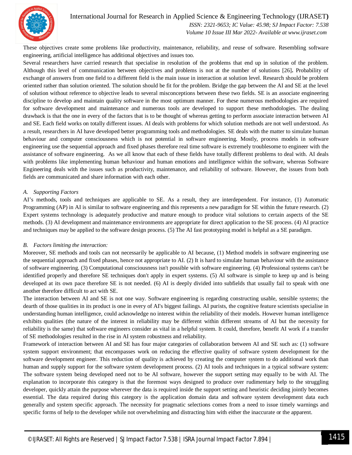

#### International Journal for Research in Applied Science & Engineering Technology (IJRASET**)**

 *ISSN: 2321-9653; IC Value: 45.98; SJ Impact Factor: 7.538 Volume 10 Issue III Mar 2022- Available at www.ijraset.com*

These objectives create some problems like productivity, maintenance, reliability, and reuse of software. Resembling software engineering, artificial intelligence has additional objectives and issues too.

Several researchers have carried research that specialise in resolution of the problems that end up in solution of the problem. Although this level of communication between objectives and problems is not at the number of solutions [26]**.** Probability of exchange of answers from one field to a different field is the main issue in interaction at solution level. Research should be problem oriented rather than solution oriented. The solution should be fit for the problem. Bridge the gap between the AI and SE at the level of solution without reference to objective leads to several misconceptions between these two fields. SE is an associate engineering discipline to develop and maintain quality software in the most optimum manner. For these numerous methodologies are required for software development and maintenance and numerous tools are developed to support these methodologies. The dealing drawback is that the one in every of the factors that is to be thought of whereas getting to perform associate interaction between AI and SE. Each field works on totally different issues. AI deals with problems for which solution methods are not well understood. As a result, researchers in AI have developed better programming tools and methodologies. SE deals with the matter to simulate human behaviour and computer consciousness which is not potential in software engineering. Mostly, process models in software engineering use the sequential approach and fixed phases therefore real time software is extremely troublesome to engineer with the assistance of software engineering. As we all know that each of these fields have totally different problems to deal with. AI deals with problems like implementing human behaviour and human emotions and intelligence within the software, whereas Software Engineering deals with the issues such as productivity, maintenance, and reliability of software. However, the issues from both fields are communicated and share information with each other.

#### *A. Supporting Factors*

AI's methods, tools and techniques are applicable to SE. As a result, they are interdependent. For instance, (1) Automatic Programming (AP) in AI is similar to software engineering and this represents a new paradigm for SE within the future research. (2) Expert systems technology is adequately productive and mature enough to produce vital solutions to certain aspects of the SE methods. (3) AI development and maintenance environments are appropriate for direct application to the SE process. (4) AI practice and techniques may be applied to the software design process. (5) The AI fast prototyping model is helpful as a SE paradigm.

#### *B. Factors limiting the interaction:*

Moreover, SE methods and tools can not necessarily be applicable to AI because, (1) Method models in software engineering use the sequential approach and fixed phases, hence not appropriate to AI. (2) It is hard to simulate human behaviour with the assistance of software engineering. (3) Computational consciousness isn't possible with software engineering. (4) Professional systems can't be identified properly and therefore SE techniques don't apply in expert systems. (5) AI software is simple to keep up and is being developed at its own pace therefore SE is not needed. (6) AI is deeply divided into subfields that usually fail to speak with one another therefore difficult to act with SE.

The interaction between AI and SE is not one way. Software engineering is regarding constructing usable, sensible systems; the dearth of those qualities in its product is one in every of AI's biggest failings. AI purists, the cognitive feature scientists specialise in understanding human intelligence, could acknowledge no interest within the reliability of their models. However human intelligence exhibits qualities (the nature of the interest in reliability may be different within different streams of AI but the necessity for reliability is the same) that software engineers consider as vital in a helpful system. It could, therefore, benefit AI work if a transfer of SE methodologies resulted in the rise in AI system robustness and reliability.

Framework of interaction between AI and SE has four major categories of collaboration between AI and SE such as: (1) software system support environment; that encompasses work on reducing the effective quality of software system development for the software development engineer. This reduction of quality is achieved by creating the computer system to do additional work than human and supply support for the software system development process. (2) AI tools and techniques in a typical software system: The software system being developed need not to be AI software, however the support setting may equally to be with AI. The explanation to incorporate this category is that the foremost ways designed to produce over rudimentary help to the struggling developer, quickly attain the purpose wherever the data is required inside the support setting and heuristic deciding jointly becomes essential. The data required during this category is the application domain data and software system development data each generally and system specific approach. The necessity for pragmatic selections comes from a need to issue timely warnings and specific forms of help to the developer while not overwhelming and distracting him with either the inaccurate or the apparent.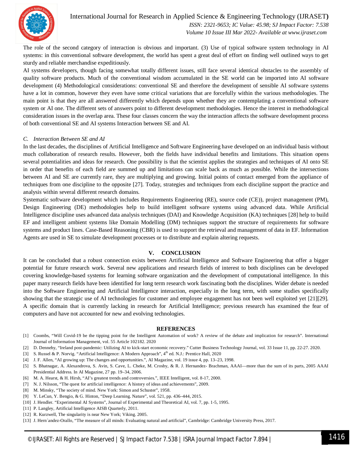

 *Volume 10 Issue III Mar 2022- Available at www.ijraset.com*

The role of the second category of interaction is obvious and important. (3) Use of typical software system technology in AI systems: in this conventional software development, the world has spent a great deal of effort on finding well outlined ways to get sturdy and reliable merchandise expeditiously.

AI systems developers, though facing somewhat totally different issues, still face several identical obstacles to the assembly of quality software products. Much of the conventional wisdom accumulated in the SE world can be imported into AI software development (4) Methodological considerations: conventional SE and therefore the development of sensible AI software systems have a lot in common, however they even have some critical variations that are forcefully within the various methodologies. The main point is that they are all answered differently which depends upon whether they are contemplating a conventional software system or AI one. The different sets of answers point to different development methodologies. Hence the interest in methodological consideration issues in the overlap area. These four classes concern the way the interaction affects the software development process of both conventional SE and AI systems Interaction between SE and AI.

#### *C. Interaction Between SE and AI*

In the last decades, the disciplines of Artificial Intelligence and Software Engineering have developed on an individual basis without much collaboration of research results. However, both the fields have individual benefits and limitations. This situation opens several potentialities and ideas for research. One possibility is that the scientist applies the strategies and techniques of AI onto SE in order that benefits of each field are summed up and limitations can scale back as much as possible. While the intersections between AI and SE are currently rare, they are multiplying and growing. Initial points of contact emerged from the appliance of techniques from one discipline to the opposite [27]. Today, strategies and techniques from each discipline support the practice and analysis within several different research domains.

Systematic software development which includes Requirements Engineering (RE), source code (CE)), project management (PM), Design Engineering (DE) methodologies help to build intelligent software systems using advanced data. While Artificial Intelligence discipline uses advanced data analysis techniques (DAI) and Knowledge Acquisition (KA) techniques [28] help to build EF and intelligent ambient systems like Domain Modelling (DM) techniques support the structure of requirements for software systems and product lines. Case-Based Reasoning (CBR) is used to support the retrieval and management of data in EF. Information Agents are used in SE to simulate development processes or to distribute and explain altering requests.

#### **V. CONCLUSION**

It can be concluded that a robust connection exists between Artificial Intelligence and Software Engineering that offer a bigger potential for future research work. Several new applications and research fields of interest to both disciplines can be developed covering knowledge-based systems for learning software organization and the development of computational intelligence. In this paper many research fields have been identified for long term research work fascinating both the disciplines. Wider debate is needed into the Software Engineering and Artificial Intelligence interaction, especially in the long term, with some studies specifically showing that the strategic use of AI technologies for customer and employee engagement has not been well exploited yet [21][29]. A specific domain that is currently lacking in research for Artificial Intelligence; previous research has examined the fear of computers and have not accounted for new and evolving technologies.

#### **REFERENCES**

- [1] Coombs, "Will Covid-19 be the tipping point for the Intelligent Automation of work? A review of the debate and implication for research". International Journal of Information Management, vol. 55 Article 102182. 2020
- [2] D. Dennehy, "Ireland post-pandemic: Utilizing AI to kick-start economic recovery." Cutter Business Technology Journal, vol. 33 Issue 11, pp. 22-27. 2020.
- [3] S. Russel & P. Norvig. "Artificial Intelligence: A Modern Approach", 4<sup>th</sup> ed. N.J.: Prentice Hall, 2020
- [4] J. F. Allen, "AI growing up: The changes and opportunities.", AI Magazine, vol. 19 issue 4, pp. 13–23, 1998.
- [5] S. Bhatnagar, A. Alexandrova, S. Avin, S. Cave, L. Cheke, M. Crosby, & R. J. Hernandez- Brachman, AAAI—more than the sum of its parts, 2005 AAAI Presidential Address. In AI Magazine, 27 pp. 19–34, 2006.
- [6] M. A. Hearst, & H. Hirsh, "AI's greatest trends and controversies.", IEEE Intelligent, vol. 8-17, 2000.
- [7] N. J. Nilsson, "The quest for artificial intelligence: A history of ideas and achievements", 2009.
- [8] M. Minsky, "The society of mind. New York: Simon and Schuster", 1958.
- [9] Y. LeCun, Y. Bengio, & G. Hinton, "Deep Learning. Nature", vol. 521, pp. 436–444, 2015.
- [10] J. Hendler. "Experimental AI Systems", Journal of Experimental and Theoretical AI, vol. 7, pp. 1-5, 1995.
- [11] P. Langley, Artificial Intelligence AISB Quarterly, 2011.
- [12] R. Kurzwell, The singularity is near New York; Viking. 2005.
- [13] J. Hern´andez-Orallo, "The measure of all minds: Evaluating natural and artificial", Cambridge: Cambridge University Press, 2017.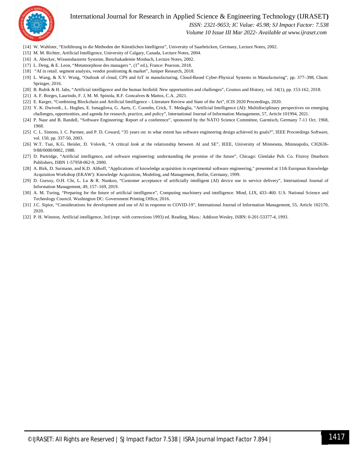

### International Journal for Research in Applied Science & Engineering Technology (IJRASET**)**

 *ISSN: 2321-9653; IC Value: 45.98; SJ Impact Factor: 7.538*

 *Volume 10 Issue III Mar 2022- Available at www.ijraset.com*

- [14] W. Wahlster, "Einführung in die Methoden der Künstlichen Intelligenz", University of Saarbrücken, Germany, Lecture Notes, 2002.
- [15] M. M. Richter, Artificial Intelligence, University of Calgary, Canada, Lecture Notes, 2004.
- [16] A. Abecker, Wissensbasierte Systeme, Berufsakademie Mosbach, Lecture Notes, 2002.
- [17] L. Deng, & E. Leon, "Metamorphose des managers ", (1<sup>st</sup> ed.), France: Pearson, 2018.
- [18] "AI in retail. segment analysis, vendor positioning & market", Juniper Research, 2018.
- [19] L. Wang, & X.V. Wang, "Outlook of cloud, CPS and IoT in manufacturing. Cloud-Based Cyber-Physical Systems in Manufacturing", pp. 377–398, Cham: Springer, 2016.
- [20] B. Rubik & H. Jabs, "Artificial intelligence and the human biofield: New opportunities and challenges", Cosmos and History, vol. 14(1), pp. 153-162, 2018.
- [21] A. F. Borges, Laurindo, F. J, M. M. Spinola, R.F. Goncalves & Mattos, C.A. ,2021.
- [22] E. Karger, "Combining Blockchain and Artificial Intelligence Literature Review and State of the Art", ICIS 2020 Proceedings, 2020.
- [23] Y. K. Dwivedi., L. Hughes, E. Ismagilova, G. Aarts, C. Coombs, Crick, T. Medaglia, "Artificial Intelligence (AI): Multidisciplinary perspectives on emerging challenges, opportunities, and agenda for research, practice, and policy", International Journal of Information Management, 57, Article 101994, 2021.
- [24] P. Naur and B. Randell, "Software Engineering: Report of a conference", sponsored by the NATO Science Committee, Garmisch, Germany 7-11 Oct. 1968, 1968.
- [25] C. L. Simons, I. C. Parmee, and P. D. Coward, "35 years on: to what extent has software engineering design achieved its goals?", IEEE Proceedings Software, vol. 150, pp. 337-50, 2003.
- [26] W.T. Tsai, K.G. Heisler, D. Volovik, "A critical look at the relationship between AI and SE", IEEE, University of Minnesota, Minneapolis, CH2636-9/88/0000/0002, 1988.
- [27] D. Partridge, "Artificial intelligence, and software engineering: understanding the promise of the future", Chicago: Glenlake Pub. Co. Fitzroy Dearborn Publishers, ISBN 1-57958-062-9, 2000.
- [28] A. Birk, D. Surmann, and K.D. Althoff, "Applications of knowledge acquisition in experimental software engineering," presented at 11th European Knowledge Acquisition Workshop (EKAW'): Knowledge Acquisition, Modeling, and Management, Berlin, Germany, 1999.
- [29] D. Gursoy, O.H. Chi, L. Lu & R. Nunkoo, "Customer acceptance of artificially intelligent (AI) device use in service delivery", International Journal of Information Management, 49, 157–169, 2019.
- [30] A. M. Turing, "Preparing for the future of artificial intelligence", Computing machinery and intelligence. Mind, LIX, 433–460. U.S. National Science and Technology Council. Washington DC: Government Printing Office, 2016.
- [31] J.C. Sipior, "Considerations for development and use of AI in response to COVID-19", International Journal of Information Management, 55, Article 102170, 2020.
- [32] P. H. Winston, Artificial intelligence, 3rd (repr. with corrections 1993) ed. Reading, Mass.: Addison Wesley, ISBN: 0-201-53377-4, 1993.